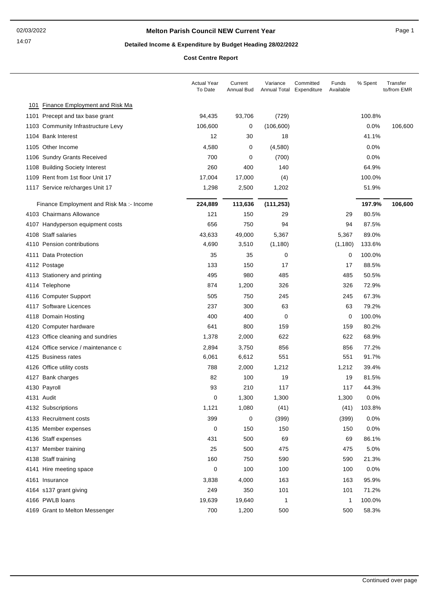## **Melton Parish Council NEW Current Year** Page 1

# **Detailed Income & Expenditure by Budget Heading 28/02/2022**

**Cost Centre Report**

|                                          | <b>Actual Year</b><br>To Date | Current<br>Annual Bud | Variance<br>Annual Total Expenditure | Committed | Funds<br>Available | % Spent | Transfer<br>to/from EMR |
|------------------------------------------|-------------------------------|-----------------------|--------------------------------------|-----------|--------------------|---------|-------------------------|
| 101 Finance Employment and Risk Ma       |                               |                       |                                      |           |                    |         |                         |
| 1101 Precept and tax base grant          | 94,435                        | 93,706                | (729)                                |           |                    | 100.8%  |                         |
| 1103 Community Infrastructure Levy       | 106,600                       | 0                     | (106, 600)                           |           |                    | 0.0%    | 106,600                 |
| 1104 Bank Interest                       | 12                            | 30                    | 18                                   |           |                    | 41.1%   |                         |
| 1105 Other Income                        | 4,580                         | 0                     | (4,580)                              |           |                    | 0.0%    |                         |
| 1106 Sundry Grants Received              | 700                           | 0                     | (700)                                |           |                    | 0.0%    |                         |
| 1108 Building Society Interest           | 260                           | 400                   | 140                                  |           |                    | 64.9%   |                         |
| 1109 Rent from 1st floor Unit 17         | 17,004                        | 17,000                | (4)                                  |           |                    | 100.0%  |                         |
| 1117 Service re/charges Unit 17          | 1,298                         | 2,500                 | 1,202                                |           |                    | 51.9%   |                         |
| Finance Employment and Risk Ma: - Income | 224,889                       | 113,636               | (111, 253)                           |           |                    | 197.9%  | 106,600                 |
| 4103 Chairmans Allowance                 | 121                           | 150                   | 29                                   |           | 29                 | 80.5%   |                         |
| 4107 Handyperson equipment costs         | 656                           | 750                   | 94                                   |           | 94                 | 87.5%   |                         |
| 4108 Staff salaries                      | 43,633                        | 49,000                | 5,367                                |           | 5,367              | 89.0%   |                         |
| 4110 Pension contributions               | 4,690                         | 3,510                 | (1, 180)                             |           | (1, 180)           | 133.6%  |                         |
| 4111 Data Protection                     | 35                            | 35                    | 0                                    |           | 0                  | 100.0%  |                         |
| 4112 Postage                             | 133                           | 150                   | 17                                   |           | 17                 | 88.5%   |                         |
| 4113 Stationery and printing             | 495                           | 980                   | 485                                  |           | 485                | 50.5%   |                         |
| 4114 Telephone                           | 874                           | 1,200                 | 326                                  |           | 326                | 72.9%   |                         |
| 4116 Computer Support                    | 505                           | 750                   | 245                                  |           | 245                | 67.3%   |                         |
| 4117 Software Licences                   | 237                           | 300                   | 63                                   |           | 63                 | 79.2%   |                         |
| 4118 Domain Hosting                      | 400                           | 400                   | 0                                    |           | 0                  | 100.0%  |                         |
| 4120 Computer hardware                   | 641                           | 800                   | 159                                  |           | 159                | 80.2%   |                         |
| 4123 Office cleaning and sundries        | 1,378                         | 2,000                 | 622                                  |           | 622                | 68.9%   |                         |
| 4124 Office service / maintenance c      | 2,894                         | 3,750                 | 856                                  |           | 856                | 77.2%   |                         |
| 4125 Business rates                      | 6,061                         | 6,612                 | 551                                  |           | 551                | 91.7%   |                         |
| 4126 Office utility costs                | 788                           | 2,000                 | 1,212                                |           | 1,212              | 39.4%   |                         |
| 4127 Bank charges                        | 82                            | 100                   | 19                                   |           | 19                 | 81.5%   |                         |
| 4130 Payroll                             | 93                            | 210                   | 117                                  |           | 117                | 44.3%   |                         |
| 4131 Audit                               | 0                             | 1,300                 | 1,300                                |           | 1,300              | 0.0%    |                         |
| 4132 Subscriptions                       | 1,121                         | 1,080                 | (41)                                 |           | (41)               | 103.8%  |                         |
| 4133 Recruitment costs                   | 399                           | 0                     | (399)                                |           | (399)              | 0.0%    |                         |
| 4135 Member expenses                     | 0                             | 150                   | 150                                  |           | 150                | 0.0%    |                         |
| 4136 Staff expenses                      | 431                           | 500                   | 69                                   |           | 69                 | 86.1%   |                         |
| 4137 Member training                     | 25                            | 500                   | 475                                  |           | 475                | 5.0%    |                         |
| 4138 Staff training                      | 160                           | 750                   | 590                                  |           | 590                | 21.3%   |                         |
| 4141 Hire meeting space                  | 0                             | 100                   | 100                                  |           | 100                | 0.0%    |                         |
| 4161 Insurance                           | 3,838                         | 4,000                 | 163                                  |           | 163                | 95.9%   |                         |
| 4164 s137 grant giving                   | 249                           | 350                   | 101                                  |           | 101                | 71.2%   |                         |
| 4166 PWLB loans                          | 19,639                        | 19,640                | $\mathbf{1}$                         |           | 1                  | 100.0%  |                         |
| 4169 Grant to Melton Messenger           | 700                           | 1,200                 | 500                                  |           | 500                | 58.3%   |                         |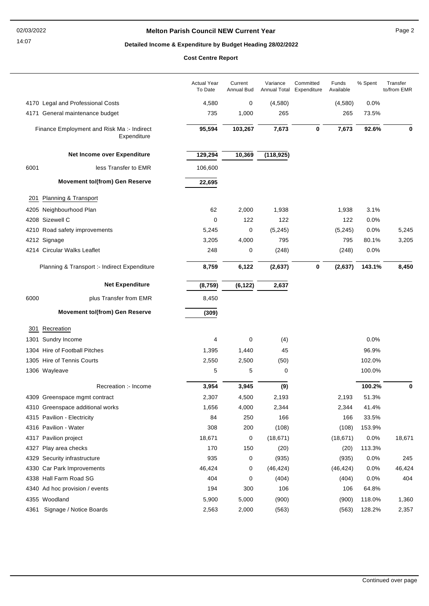## **Melton Parish Council NEW Current Year** Page 2

# **Detailed Income & Expenditure by Budget Heading 28/02/2022**

**Cost Centre Report**

|      |                                                           | <b>Actual Year</b><br>To Date | Current<br>Annual Bud | Variance<br>Annual Total | Committed<br>Expenditure | Funds<br>Available | % Spent | Transfer<br>to/from EMR |
|------|-----------------------------------------------------------|-------------------------------|-----------------------|--------------------------|--------------------------|--------------------|---------|-------------------------|
|      | 4170 Legal and Professional Costs                         | 4,580                         | 0                     | (4,580)                  |                          | (4,580)            | 0.0%    |                         |
|      | 4171 General maintenance budget                           | 735                           | 1,000                 | 265                      |                          | 265                | 73.5%   |                         |
|      | Finance Employment and Risk Ma :- Indirect<br>Expenditure | 95,594                        | 103,267               | 7,673                    | 0                        | 7,673              | 92.6%   | 0                       |
|      | Net Income over Expenditure                               | 129,294                       | 10,369                | (118, 925)               |                          |                    |         |                         |
| 6001 | less Transfer to EMR                                      | 106,600                       |                       |                          |                          |                    |         |                         |
|      | <b>Movement to/(from) Gen Reserve</b>                     | 22,695                        |                       |                          |                          |                    |         |                         |
| 201  | Planning & Transport                                      |                               |                       |                          |                          |                    |         |                         |
|      | 4205 Neighbourhood Plan                                   | 62                            | 2,000                 | 1,938                    |                          | 1,938              | 3.1%    |                         |
|      | 4208 Sizewell C                                           | 0                             | 122                   | 122                      |                          | 122                | 0.0%    |                         |
|      | 4210 Road safety improvements                             | 5,245                         | 0                     | (5, 245)                 |                          | (5,245)            | 0.0%    | 5,245                   |
|      | 4212 Signage                                              | 3,205                         | 4,000                 | 795                      |                          | 795                | 80.1%   | 3,205                   |
|      | 4214 Circular Walks Leaflet                               | 248                           | 0                     | (248)                    |                          | (248)              | 0.0%    |                         |
|      | Planning & Transport :- Indirect Expenditure              | 8,759                         | 6,122                 | (2,637)                  | 0                        | (2,637)            | 143.1%  | 8,450                   |
|      |                                                           |                               |                       |                          |                          |                    |         |                         |
|      | <b>Net Expenditure</b>                                    | (8, 759)                      | (6, 122)              | 2,637                    |                          |                    |         |                         |
| 6000 | plus Transfer from EMR                                    | 8,450                         |                       |                          |                          |                    |         |                         |
|      | <b>Movement to/(from) Gen Reserve</b>                     | (309)                         |                       |                          |                          |                    |         |                         |
| 301  | Recreation                                                |                               |                       |                          |                          |                    |         |                         |
|      | 1301 Sundry Income                                        | 4                             | 0                     | (4)                      |                          |                    | 0.0%    |                         |
|      | 1304 Hire of Football Pitches                             | 1,395                         | 1,440                 | 45                       |                          |                    | 96.9%   |                         |
|      | 1305 Hire of Tennis Courts                                | 2,550                         | 2,500                 | (50)                     |                          |                    | 102.0%  |                         |
|      | 1306 Wayleave                                             | 5                             | 5                     | 0                        |                          |                    | 100.0%  |                         |
|      | Recreation :- Income                                      | 3,954                         | 3,945                 | (9)                      |                          |                    | 100.2%  | 0                       |
|      | 4309 Greenspace mgmt contract                             | 2,307                         | 4,500                 | 2,193                    |                          | 2,193              | 51.3%   |                         |
|      | 4310 Greenspace additional works                          | 1,656                         | 4,000                 | 2,344                    |                          | 2,344              | 41.4%   |                         |
|      | 4315 Pavilion - Electricity                               | 84                            | 250                   | 166                      |                          | 166                | 33.5%   |                         |
|      | 4316 Pavilion - Water                                     | 308                           | 200                   | (108)                    |                          | (108)              | 153.9%  |                         |
|      | 4317 Pavilion project                                     | 18,671                        | 0                     | (18, 671)                |                          | (18, 671)          | 0.0%    | 18,671                  |
|      | 4327 Play area checks                                     | 170                           | 150                   | (20)                     |                          | (20)               | 113.3%  |                         |
|      | 4329 Security infrastructure                              | 935                           | 0                     | (935)                    |                          | (935)              | 0.0%    | 245                     |
|      | 4330 Car Park Improvements                                | 46,424                        | 0                     | (46, 424)                |                          | (46, 424)          | 0.0%    | 46,424                  |
|      | 4338 Hall Farm Road SG                                    | 404                           | 0                     | (404)                    |                          | (404)              | 0.0%    | 404                     |
|      | 4340 Ad hoc provision / events                            | 194                           | 300                   | 106                      |                          | 106                | 64.8%   |                         |
|      | 4355 Woodland                                             | 5,900                         | 5,000                 | (900)                    |                          | (900)              | 118.0%  | 1,360                   |
|      | 4361 Signage / Notice Boards                              | 2,563                         | 2,000                 | (563)                    |                          | (563)              | 128.2%  | 2,357                   |